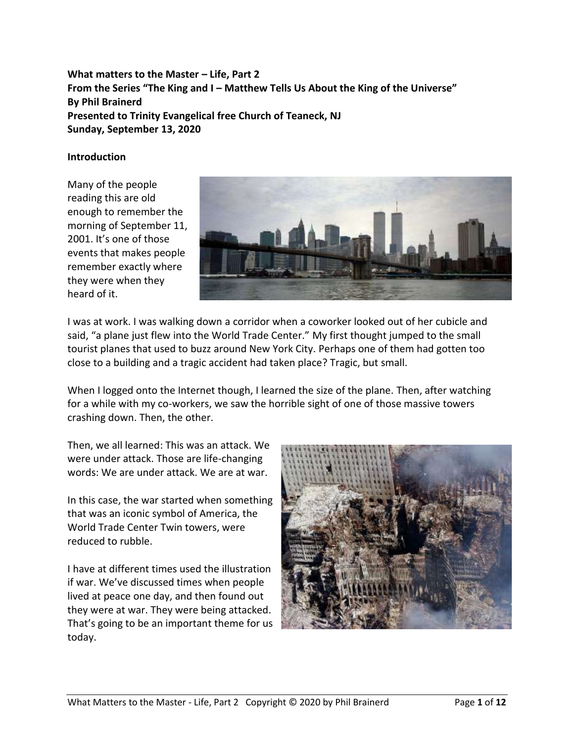**What matters to the Master – Life, Part 2 From the Series "The King and I – Matthew Tells Us About the King of the Universe" By Phil Brainerd Presented to Trinity Evangelical free Church of Teaneck, NJ Sunday, September 13, 2020**

#### **Introduction**

Many of the people reading this are old enough to remember the morning of September 11, 2001. It's one of those events that makes people remember exactly where they were when they heard of it.



I was at work. I was walking down a corridor when a coworker looked out of her cubicle and said, "a plane just flew into the World Trade Center." My first thought jumped to the small tourist planes that used to buzz around New York City. Perhaps one of them had gotten too close to a building and a tragic accident had taken place? Tragic, but small.

When I logged onto the Internet though, I learned the size of the plane. Then, after watching for a while with my co-workers, we saw the horrible sight of one of those massive towers crashing down. Then, the other.

Then, we all learned: This was an attack. We were under attack. Those are life-changing words: We are under attack. We are at war.

In this case, the war started when something that was an iconic symbol of America, the World Trade Center Twin towers, were reduced to rubble.

I have at different times used the illustration if war. We've discussed times when people lived at peace one day, and then found out they were at war. They were being attacked. That's going to be an important theme for us today.

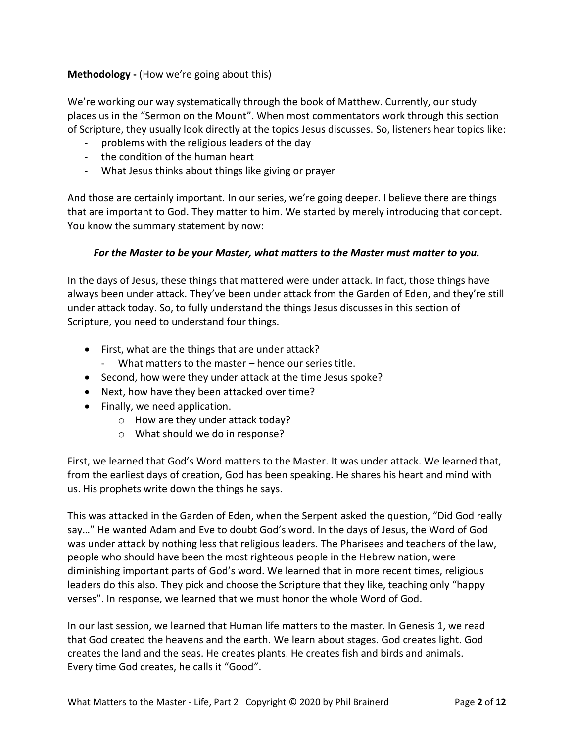# **Methodology -** (How we're going about this)

We're working our way systematically through the book of Matthew. Currently, our study places us in the "Sermon on the Mount". When most commentators work through this section of Scripture, they usually look directly at the topics Jesus discusses. So, listeners hear topics like:

- problems with the religious leaders of the day
- the condition of the human heart
- What Jesus thinks about things like giving or prayer

And those are certainly important. In our series, we're going deeper. I believe there are things that are important to God. They matter to him. We started by merely introducing that concept. You know the summary statement by now:

# *For the Master to be your Master, what matters to the Master must matter to you.*

In the days of Jesus, these things that mattered were under attack. In fact, those things have always been under attack. They've been under attack from the Garden of Eden, and they're still under attack today. So, to fully understand the things Jesus discusses in this section of Scripture, you need to understand four things.

- First, what are the things that are under attack?
	- What matters to the master hence our series title.
- Second, how were they under attack at the time Jesus spoke?
- Next, how have they been attacked over time?
- Finally, we need application.
	- o How are they under attack today?
	- o What should we do in response?

First, we learned that God's Word matters to the Master. It was under attack. We learned that, from the earliest days of creation, God has been speaking. He shares his heart and mind with us. His prophets write down the things he says.

This was attacked in the Garden of Eden, when the Serpent asked the question, "Did God really say…" He wanted Adam and Eve to doubt God's word. In the days of Jesus, the Word of God was under attack by nothing less that religious leaders. The Pharisees and teachers of the law, people who should have been the most righteous people in the Hebrew nation, were diminishing important parts of God's word. We learned that in more recent times, religious leaders do this also. They pick and choose the Scripture that they like, teaching only "happy verses". In response, we learned that we must honor the whole Word of God.

In our last session, we learned that Human life matters to the master. In Genesis 1, we read that God created the heavens and the earth. We learn about stages. God creates light. God creates the land and the seas. He creates plants. He creates fish and birds and animals. Every time God creates, he calls it "Good".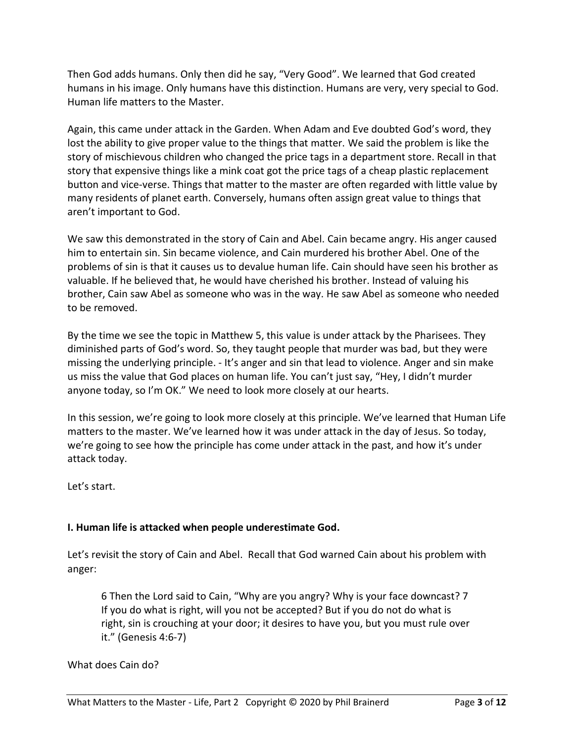Then God adds humans. Only then did he say, "Very Good". We learned that God created humans in his image. Only humans have this distinction. Humans are very, very special to God. Human life matters to the Master.

Again, this came under attack in the Garden. When Adam and Eve doubted God's word, they lost the ability to give proper value to the things that matter. We said the problem is like the story of mischievous children who changed the price tags in a department store. Recall in that story that expensive things like a mink coat got the price tags of a cheap plastic replacement button and vice-verse. Things that matter to the master are often regarded with little value by many residents of planet earth. Conversely, humans often assign great value to things that aren't important to God.

We saw this demonstrated in the story of Cain and Abel. Cain became angry. His anger caused him to entertain sin. Sin became violence, and Cain murdered his brother Abel. One of the problems of sin is that it causes us to devalue human life. Cain should have seen his brother as valuable. If he believed that, he would have cherished his brother. Instead of valuing his brother, Cain saw Abel as someone who was in the way. He saw Abel as someone who needed to be removed.

By the time we see the topic in Matthew 5, this value is under attack by the Pharisees. They diminished parts of God's word. So, they taught people that murder was bad, but they were missing the underlying principle. - It's anger and sin that lead to violence. Anger and sin make us miss the value that God places on human life. You can't just say, "Hey, I didn't murder anyone today, so I'm OK." We need to look more closely at our hearts.

In this session, we're going to look more closely at this principle. We've learned that Human Life matters to the master. We've learned how it was under attack in the day of Jesus. So today, we're going to see how the principle has come under attack in the past, and how it's under attack today.

Let's start.

# **I. Human life is attacked when people underestimate God.**

Let's revisit the story of Cain and Abel. Recall that God warned Cain about his problem with anger:

6 Then the Lord said to Cain, "Why are you angry? Why is your face downcast? 7 If you do what is right, will you not be accepted? But if you do not do what is right, sin is crouching at your door; it desires to have you, but you must rule over it." (Genesis 4:6-7)

# What does Cain do?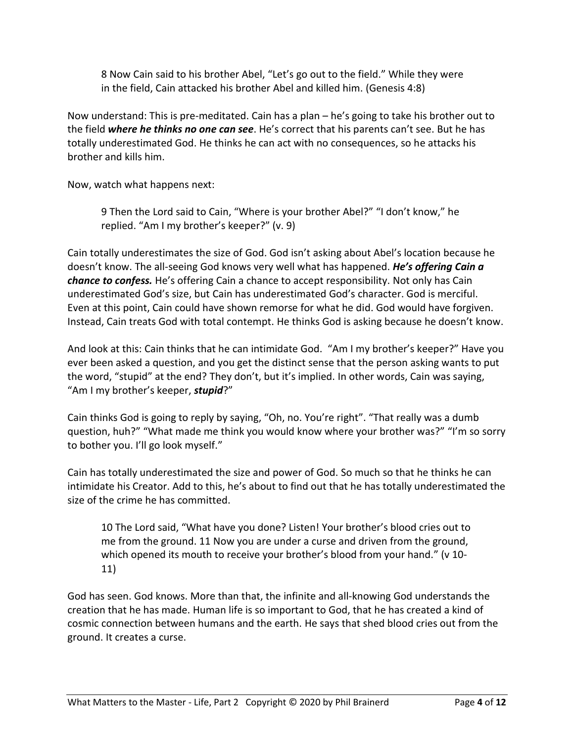8 Now Cain said to his brother Abel, "Let's go out to the field." While they were in the field, Cain attacked his brother Abel and killed him. (Genesis 4:8)

Now understand: This is pre-meditated. Cain has a plan – he's going to take his brother out to the field *where he thinks no one can see*. He's correct that his parents can't see. But he has totally underestimated God. He thinks he can act with no consequences, so he attacks his brother and kills him.

Now, watch what happens next:

9 Then the Lord said to Cain, "Where is your brother Abel?" "I don't know," he replied. "Am I my brother's keeper?" (v. 9)

Cain totally underestimates the size of God. God isn't asking about Abel's location because he doesn't know. The all-seeing God knows very well what has happened. *He's offering Cain a chance to confess.* He's offering Cain a chance to accept responsibility. Not only has Cain underestimated God's size, but Cain has underestimated God's character. God is merciful. Even at this point, Cain could have shown remorse for what he did. God would have forgiven. Instead, Cain treats God with total contempt. He thinks God is asking because he doesn't know.

And look at this: Cain thinks that he can intimidate God. "Am I my brother's keeper?" Have you ever been asked a question, and you get the distinct sense that the person asking wants to put the word, "stupid" at the end? They don't, but it's implied. In other words, Cain was saying, "Am I my brother's keeper, *stupid*?"

Cain thinks God is going to reply by saying, "Oh, no. You're right". "That really was a dumb question, huh?" "What made me think you would know where your brother was?" "I'm so sorry to bother you. I'll go look myself."

Cain has totally underestimated the size and power of God. So much so that he thinks he can intimidate his Creator. Add to this, he's about to find out that he has totally underestimated the size of the crime he has committed.

10 The Lord said, "What have you done? Listen! Your brother's blood cries out to me from the ground. 11 Now you are under a curse and driven from the ground, which opened its mouth to receive your brother's blood from your hand." (v 10- 11)

God has seen. God knows. More than that, the infinite and all-knowing God understands the creation that he has made. Human life is so important to God, that he has created a kind of cosmic connection between humans and the earth. He says that shed blood cries out from the ground. It creates a curse.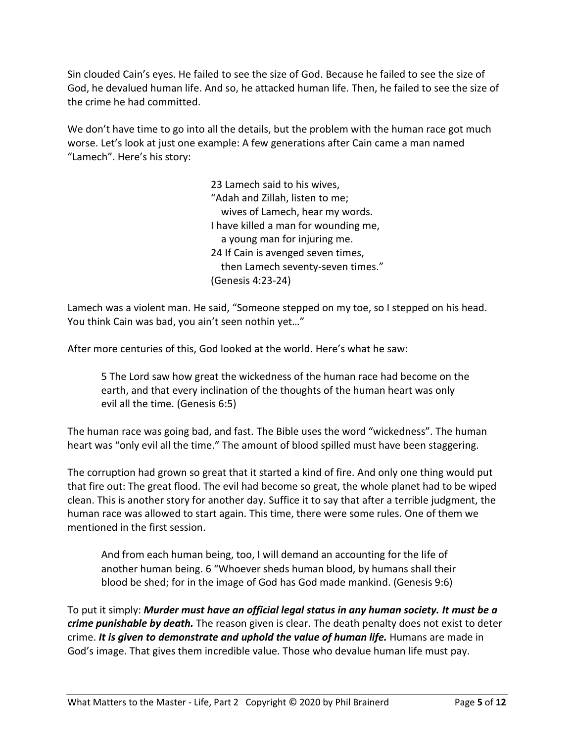Sin clouded Cain's eyes. He failed to see the size of God. Because he failed to see the size of God, he devalued human life. And so, he attacked human life. Then, he failed to see the size of the crime he had committed.

We don't have time to go into all the details, but the problem with the human race got much worse. Let's look at just one example: A few generations after Cain came a man named "Lamech". Here's his story:

> 23 Lamech said to his wives, "Adah and Zillah, listen to me; wives of Lamech, hear my words. I have killed a man for wounding me, a young man for injuring me. 24 If Cain is avenged seven times, then Lamech seventy-seven times." (Genesis 4:23-24)

Lamech was a violent man. He said, "Someone stepped on my toe, so I stepped on his head. You think Cain was bad, you ain't seen nothin yet…"

After more centuries of this, God looked at the world. Here's what he saw:

5 The Lord saw how great the wickedness of the human race had become on the earth, and that every inclination of the thoughts of the human heart was only evil all the time. (Genesis 6:5)

The human race was going bad, and fast. The Bible uses the word "wickedness". The human heart was "only evil all the time." The amount of blood spilled must have been staggering.

The corruption had grown so great that it started a kind of fire. And only one thing would put that fire out: The great flood. The evil had become so great, the whole planet had to be wiped clean. This is another story for another day. Suffice it to say that after a terrible judgment, the human race was allowed to start again. This time, there were some rules. One of them we mentioned in the first session.

And from each human being, too, I will demand an accounting for the life of another human being. 6 "Whoever sheds human blood, by humans shall their blood be shed; for in the image of God has God made mankind. (Genesis 9:6)

To put it simply: *Murder must have an official legal status in any human society. It must be a crime punishable by death.* The reason given is clear. The death penalty does not exist to deter crime. *It is given to demonstrate and uphold the value of human life.* Humans are made in God's image. That gives them incredible value. Those who devalue human life must pay.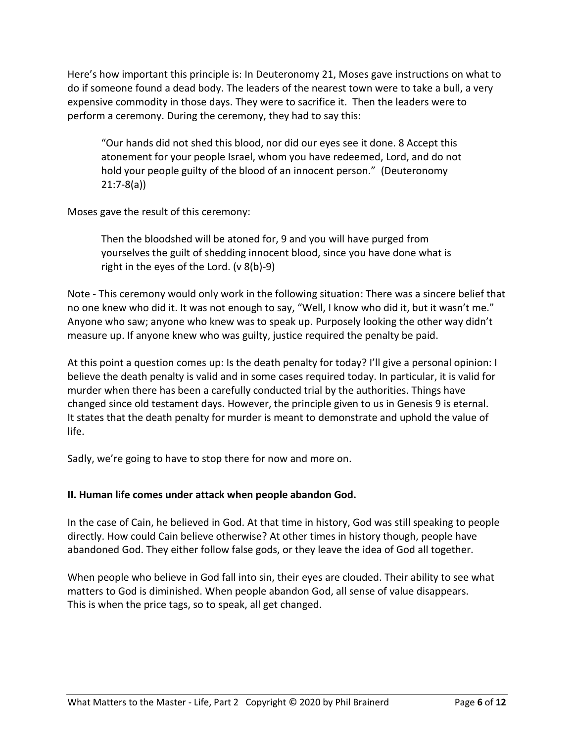Here's how important this principle is: In Deuteronomy 21, Moses gave instructions on what to do if someone found a dead body. The leaders of the nearest town were to take a bull, a very expensive commodity in those days. They were to sacrifice it. Then the leaders were to perform a ceremony. During the ceremony, they had to say this:

"Our hands did not shed this blood, nor did our eyes see it done. 8 Accept this atonement for your people Israel, whom you have redeemed, Lord, and do not hold your people guilty of the blood of an innocent person." (Deuteronomy 21:7-8(a))

Moses gave the result of this ceremony:

Then the bloodshed will be atoned for, 9 and you will have purged from yourselves the guilt of shedding innocent blood, since you have done what is right in the eyes of the Lord. (v 8(b)-9)

Note - This ceremony would only work in the following situation: There was a sincere belief that no one knew who did it. It was not enough to say, "Well, I know who did it, but it wasn't me." Anyone who saw; anyone who knew was to speak up. Purposely looking the other way didn't measure up. If anyone knew who was guilty, justice required the penalty be paid.

At this point a question comes up: Is the death penalty for today? I'll give a personal opinion: I believe the death penalty is valid and in some cases required today. In particular, it is valid for murder when there has been a carefully conducted trial by the authorities. Things have changed since old testament days. However, the principle given to us in Genesis 9 is eternal. It states that the death penalty for murder is meant to demonstrate and uphold the value of life.

Sadly, we're going to have to stop there for now and more on.

# **II. Human life comes under attack when people abandon God.**

In the case of Cain, he believed in God. At that time in history, God was still speaking to people directly. How could Cain believe otherwise? At other times in history though, people have abandoned God. They either follow false gods, or they leave the idea of God all together.

When people who believe in God fall into sin, their eyes are clouded. Their ability to see what matters to God is diminished. When people abandon God, all sense of value disappears. This is when the price tags, so to speak, all get changed.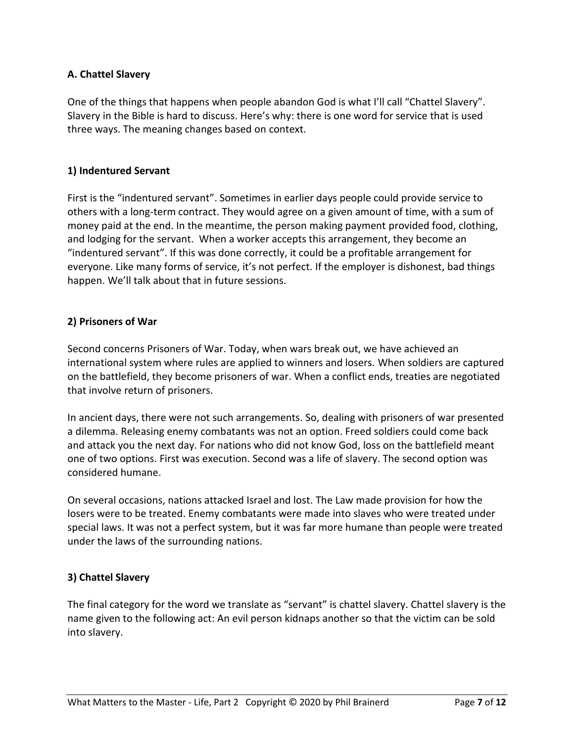# **A. Chattel Slavery**

One of the things that happens when people abandon God is what I'll call "Chattel Slavery". Slavery in the Bible is hard to discuss. Here's why: there is one word for service that is used three ways. The meaning changes based on context.

#### **1) Indentured Servant**

First is the "indentured servant". Sometimes in earlier days people could provide service to others with a long-term contract. They would agree on a given amount of time, with a sum of money paid at the end. In the meantime, the person making payment provided food, clothing, and lodging for the servant. When a worker accepts this arrangement, they become an "indentured servant". If this was done correctly, it could be a profitable arrangement for everyone. Like many forms of service, it's not perfect. If the employer is dishonest, bad things happen. We'll talk about that in future sessions.

#### **2) Prisoners of War**

Second concerns Prisoners of War. Today, when wars break out, we have achieved an international system where rules are applied to winners and losers. When soldiers are captured on the battlefield, they become prisoners of war. When a conflict ends, treaties are negotiated that involve return of prisoners.

In ancient days, there were not such arrangements. So, dealing with prisoners of war presented a dilemma. Releasing enemy combatants was not an option. Freed soldiers could come back and attack you the next day. For nations who did not know God, loss on the battlefield meant one of two options. First was execution. Second was a life of slavery. The second option was considered humane.

On several occasions, nations attacked Israel and lost. The Law made provision for how the losers were to be treated. Enemy combatants were made into slaves who were treated under special laws. It was not a perfect system, but it was far more humane than people were treated under the laws of the surrounding nations.

# **3) Chattel Slavery**

The final category for the word we translate as "servant" is chattel slavery. Chattel slavery is the name given to the following act: An evil person kidnaps another so that the victim can be sold into slavery.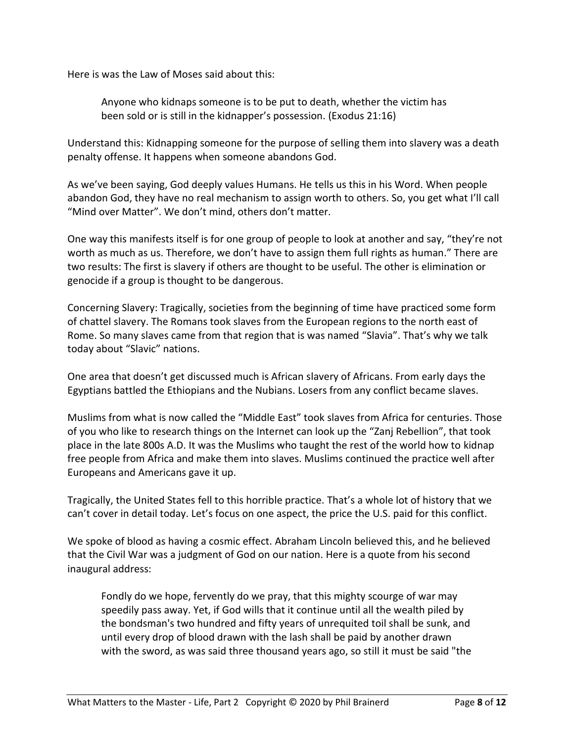Here is was the Law of Moses said about this:

Anyone who kidnaps someone is to be put to death, whether the victim has been sold or is still in the kidnapper's possession. (Exodus 21:16)

Understand this: Kidnapping someone for the purpose of selling them into slavery was a death penalty offense. It happens when someone abandons God.

As we've been saying, God deeply values Humans. He tells us this in his Word. When people abandon God, they have no real mechanism to assign worth to others. So, you get what I'll call "Mind over Matter". We don't mind, others don't matter.

One way this manifests itself is for one group of people to look at another and say, "they're not worth as much as us. Therefore, we don't have to assign them full rights as human." There are two results: The first is slavery if others are thought to be useful. The other is elimination or genocide if a group is thought to be dangerous.

Concerning Slavery: Tragically, societies from the beginning of time have practiced some form of chattel slavery. The Romans took slaves from the European regions to the north east of Rome. So many slaves came from that region that is was named "Slavia". That's why we talk today about "Slavic" nations.

One area that doesn't get discussed much is African slavery of Africans. From early days the Egyptians battled the Ethiopians and the Nubians. Losers from any conflict became slaves.

Muslims from what is now called the "Middle East" took slaves from Africa for centuries. Those of you who like to research things on the Internet can look up the "Zanj Rebellion", that took place in the late 800s A.D. It was the Muslims who taught the rest of the world how to kidnap free people from Africa and make them into slaves. Muslims continued the practice well after Europeans and Americans gave it up.

Tragically, the United States fell to this horrible practice. That's a whole lot of history that we can't cover in detail today. Let's focus on one aspect, the price the U.S. paid for this conflict.

We spoke of blood as having a cosmic effect. Abraham Lincoln believed this, and he believed that the Civil War was a judgment of God on our nation. Here is a quote from his second inaugural address:

Fondly do we hope, fervently do we pray, that this mighty scourge of war may speedily pass away. Yet, if God wills that it continue until all the wealth piled by the bondsman's two hundred and fifty years of unrequited toil shall be sunk, and until every drop of blood drawn with the lash shall be paid by another drawn with the sword, as was said three thousand years ago, so still it must be said "the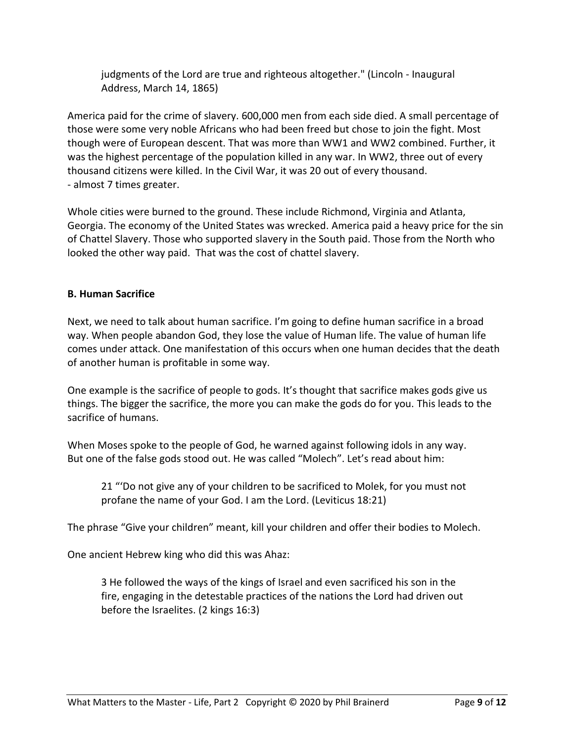judgments of the Lord are true and righteous altogether." (Lincoln - Inaugural Address, March 14, 1865)

America paid for the crime of slavery. 600,000 men from each side died. A small percentage of those were some very noble Africans who had been freed but chose to join the fight. Most though were of European descent. That was more than WW1 and WW2 combined. Further, it was the highest percentage of the population killed in any war. In WW2, three out of every thousand citizens were killed. In the Civil War, it was 20 out of every thousand. - almost 7 times greater.

Whole cities were burned to the ground. These include Richmond, Virginia and Atlanta, Georgia. The economy of the United States was wrecked. America paid a heavy price for the sin of Chattel Slavery. Those who supported slavery in the South paid. Those from the North who looked the other way paid. That was the cost of chattel slavery.

# **B. Human Sacrifice**

Next, we need to talk about human sacrifice. I'm going to define human sacrifice in a broad way. When people abandon God, they lose the value of Human life. The value of human life comes under attack. One manifestation of this occurs when one human decides that the death of another human is profitable in some way.

One example is the sacrifice of people to gods. It's thought that sacrifice makes gods give us things. The bigger the sacrifice, the more you can make the gods do for you. This leads to the sacrifice of humans.

When Moses spoke to the people of God, he warned against following idols in any way. But one of the false gods stood out. He was called "Molech". Let's read about him:

21 "'Do not give any of your children to be sacrificed to Molek, for you must not profane the name of your God. I am the Lord. (Leviticus 18:21)

The phrase "Give your children" meant, kill your children and offer their bodies to Molech.

One ancient Hebrew king who did this was Ahaz:

3 He followed the ways of the kings of Israel and even sacrificed his son in the fire, engaging in the detestable practices of the nations the Lord had driven out before the Israelites. (2 kings 16:3)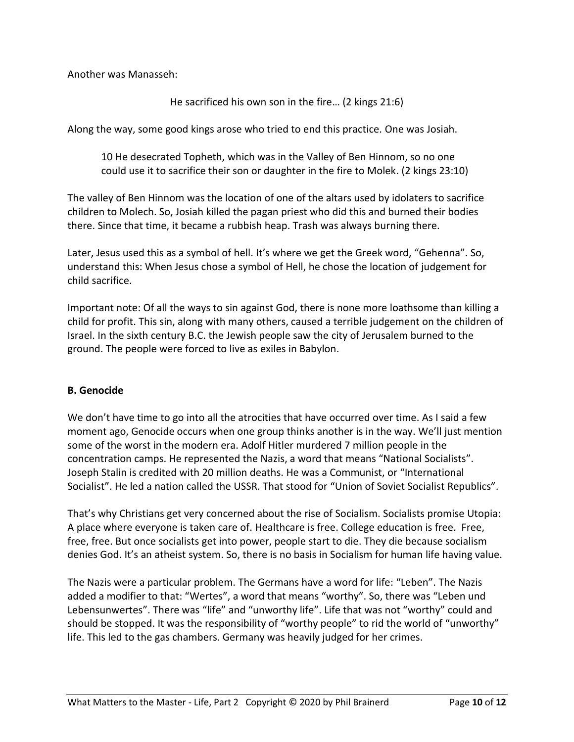Another was Manasseh:

He sacrificed his own son in the fire… (2 kings 21:6)

Along the way, some good kings arose who tried to end this practice. One was Josiah.

10 He desecrated Topheth, which was in the Valley of Ben Hinnom, so no one could use it to sacrifice their son or daughter in the fire to Molek. (2 kings 23:10)

The valley of Ben Hinnom was the location of one of the altars used by idolaters to sacrifice children to Molech. So, Josiah killed the pagan priest who did this and burned their bodies there. Since that time, it became a rubbish heap. Trash was always burning there.

Later, Jesus used this as a symbol of hell. It's where we get the Greek word, "Gehenna". So, understand this: When Jesus chose a symbol of Hell, he chose the location of judgement for child sacrifice.

Important note: Of all the ways to sin against God, there is none more loathsome than killing a child for profit. This sin, along with many others, caused a terrible judgement on the children of Israel. In the sixth century B.C. the Jewish people saw the city of Jerusalem burned to the ground. The people were forced to live as exiles in Babylon.

#### **B. Genocide**

We don't have time to go into all the atrocities that have occurred over time. As I said a few moment ago, Genocide occurs when one group thinks another is in the way. We'll just mention some of the worst in the modern era. Adolf Hitler murdered 7 million people in the concentration camps. He represented the Nazis, a word that means "National Socialists". Joseph Stalin is credited with 20 million deaths. He was a Communist, or "International Socialist". He led a nation called the USSR. That stood for "Union of Soviet Socialist Republics".

That's why Christians get very concerned about the rise of Socialism. Socialists promise Utopia: A place where everyone is taken care of. Healthcare is free. College education is free. Free, free, free. But once socialists get into power, people start to die. They die because socialism denies God. It's an atheist system. So, there is no basis in Socialism for human life having value.

The Nazis were a particular problem. The Germans have a word for life: "Leben". The Nazis added a modifier to that: "Wertes", a word that means "worthy". So, there was "Leben und Lebensunwertes". There was "life" and "unworthy life". Life that was not "worthy" could and should be stopped. It was the responsibility of "worthy people" to rid the world of "unworthy" life. This led to the gas chambers. Germany was heavily judged for her crimes.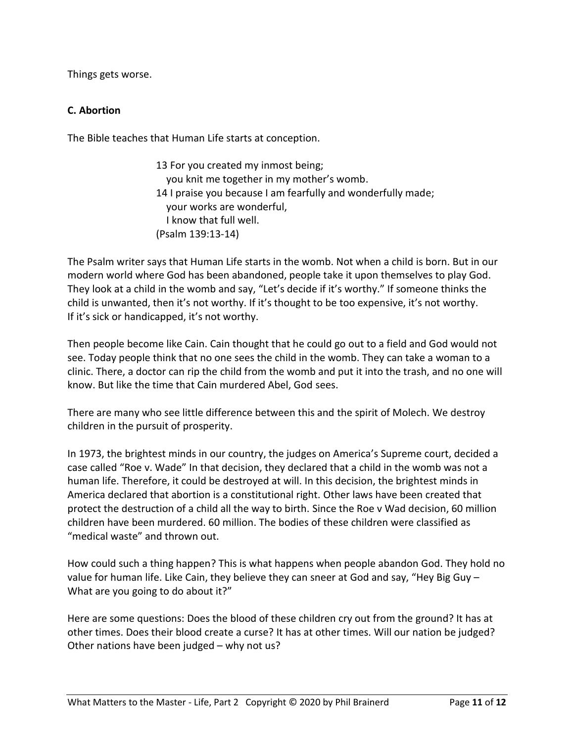Things gets worse.

# **C. Abortion**

The Bible teaches that Human Life starts at conception.

13 For you created my inmost being; you knit me together in my mother's womb. 14 I praise you because I am fearfully and wonderfully made; your works are wonderful, I know that full well. (Psalm 139:13-14)

The Psalm writer says that Human Life starts in the womb. Not when a child is born. But in our modern world where God has been abandoned, people take it upon themselves to play God. They look at a child in the womb and say, "Let's decide if it's worthy." If someone thinks the child is unwanted, then it's not worthy. If it's thought to be too expensive, it's not worthy. If it's sick or handicapped, it's not worthy.

Then people become like Cain. Cain thought that he could go out to a field and God would not see. Today people think that no one sees the child in the womb. They can take a woman to a clinic. There, a doctor can rip the child from the womb and put it into the trash, and no one will know. But like the time that Cain murdered Abel, God sees.

There are many who see little difference between this and the spirit of Molech. We destroy children in the pursuit of prosperity.

In 1973, the brightest minds in our country, the judges on America's Supreme court, decided a case called "Roe v. Wade" In that decision, they declared that a child in the womb was not a human life. Therefore, it could be destroyed at will. In this decision, the brightest minds in America declared that abortion is a constitutional right. Other laws have been created that protect the destruction of a child all the way to birth. Since the Roe v Wad decision, 60 million children have been murdered. 60 million. The bodies of these children were classified as "medical waste" and thrown out.

How could such a thing happen? This is what happens when people abandon God. They hold no value for human life. Like Cain, they believe they can sneer at God and say, "Hey Big Guy – What are you going to do about it?"

Here are some questions: Does the blood of these children cry out from the ground? It has at other times. Does their blood create a curse? It has at other times. Will our nation be judged? Other nations have been judged – why not us?